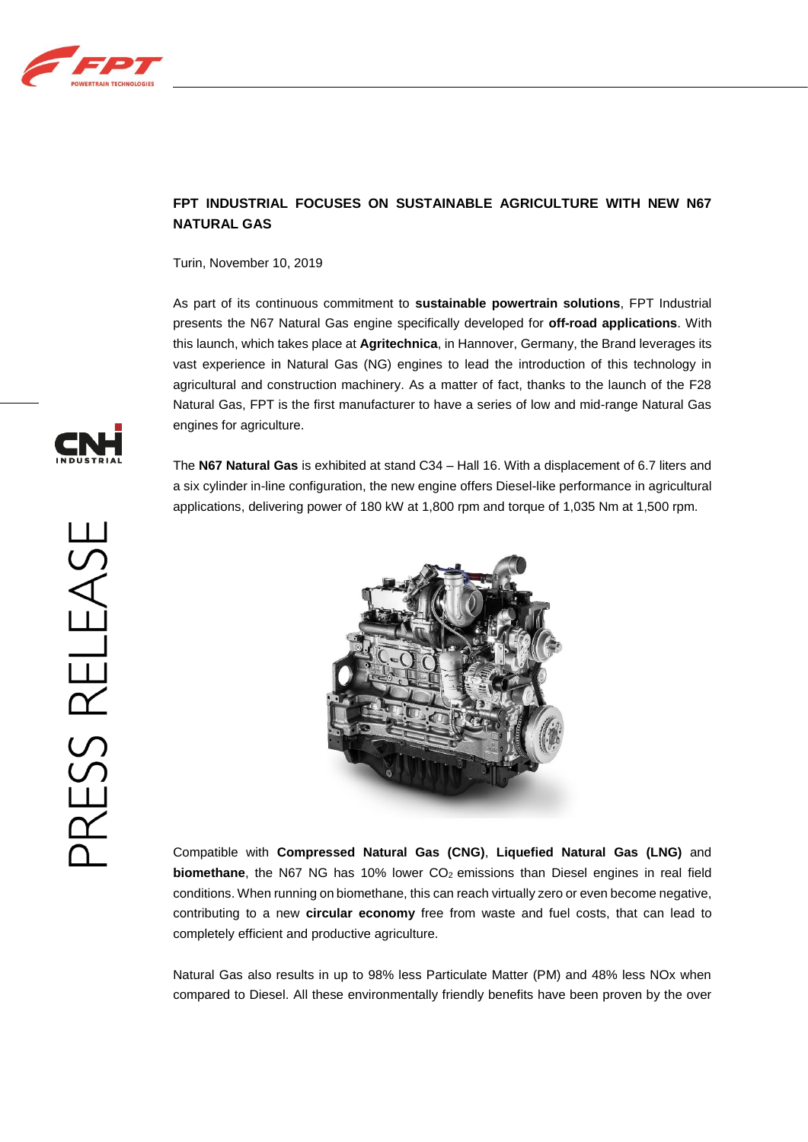

## **FPT INDUSTRIAL FOCUSES ON SUSTAINABLE AGRICULTURE WITH NEW N67 NATURAL GAS**

Turin, November 10, 2019

As part of its continuous commitment to **sustainable powertrain solutions**, FPT Industrial presents the N67 Natural Gas engine specifically developed for **off-road applications**. With this launch, which takes place at **Agritechnica**, in Hannover, Germany, the Brand leverages its vast experience in Natural Gas (NG) engines to lead the introduction of this technology in agricultural and construction machinery. As a matter of fact, thanks to the launch of the F28 Natural Gas, FPT is the first manufacturer to have a series of low and mid-range Natural Gas engines for agriculture.

The **N67 Natural Gas** is exhibited at stand C34 – Hall 16. With a displacement of 6.7 liters and a six cylinder in-line configuration, the new engine offers Diesel-like performance in agricultural applications, delivering power of 180 kW at 1,800 rpm and torque of 1,035 Nm at 1,500 rpm.



Compatible with **Compressed Natural Gas (CNG)**, **Liquefied Natural Gas (LNG)** and **biomethane**, the N67 NG has 10% lower CO<sub>2</sub> emissions than Diesel engines in real field conditions. When running on biomethane, this can reach virtually zero or even become negative, contributing to a new **circular economy** free from waste and fuel costs, that can lead to completely efficient and productive agriculture.

Natural Gas also results in up to 98% less Particulate Matter (PM) and 48% less NOx when compared to Diesel. All these environmentally friendly benefits have been proven by the over